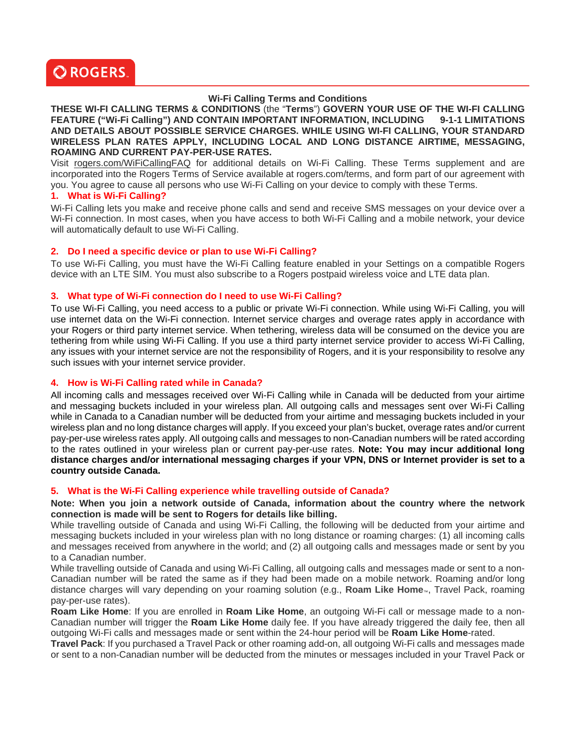

# **Wi-Fi Calling Terms and Conditions**

**THESE WI-FI CALLING TERMS & CONDITIONS** (the "**Terms**") **GOVERN YOUR USE OF THE WI-FI CALLING**  FEATURE ("Wi-Fi Calling") AND CONTAIN IMPORTANT INFORMATION, INCLUDING 9-1-1 LIMITATIONS **AND DETAILS ABOUT POSSIBLE SERVICE CHARGES. WHILE USING WI-FI CALLING, YOUR STANDARD WIRELESS PLAN RATES APPLY, INCLUDING LOCAL AND LONG DISTANCE AIRTIME, MESSAGING, ROAMING AND CURRENT PAY-PER-USE RATES.** 

Visit rogers.com/WiFiCallingFAQ for additional details on Wi-Fi Calling. These Terms supplement and are incorporated into the Rogers Terms of Service available at rogers.com/terms, and form part of our agreement with you. You agree to cause all persons who use Wi-Fi Calling on your device to comply with these Terms.

#### **1. What is Wi-Fi Calling?**

Wi-Fi Calling lets you make and receive phone calls and send and receive SMS messages on your device over a Wi-Fi connection. In most cases, when you have access to both Wi-Fi Calling and a mobile network, your device will automatically default to use Wi-Fi Calling.

#### **2. Do I need a specific device or plan to use Wi-Fi Calling?**

To use Wi-Fi Calling, you must have the Wi-Fi Calling feature enabled in your Settings on a compatible Rogers device with an LTE SIM. You must also subscribe to a Rogers postpaid wireless voice and LTE data plan.

#### **3. What type of Wi-Fi connection do I need to use Wi-Fi Calling?**

To use Wi-Fi Calling, you need access to a public or private Wi-Fi connection. While using Wi-Fi Calling, you will use internet data on the Wi-Fi connection. Internet service charges and overage rates apply in accordance with your Rogers or third party internet service. When tethering, wireless data will be consumed on the device you are tethering from while using Wi-Fi Calling. If you use a third party internet service provider to access Wi-Fi Calling, any issues with your internet service are not the responsibility of Rogers, and it is your responsibility to resolve any such issues with your internet service provider.

#### **4. How is Wi-Fi Calling rated while in Canada?**

All incoming calls and messages received over Wi-Fi Calling while in Canada will be deducted from your airtime and messaging buckets included in your wireless plan. All outgoing calls and messages sent over Wi-Fi Calling while in Canada to a Canadian number will be deducted from your airtime and messaging buckets included in your wireless plan and no long distance charges will apply. If you exceed your plan's bucket, overage rates and/or current pay-per-use wireless rates apply. All outgoing calls and messages to non-Canadian numbers will be rated according to the rates outlined in your wireless plan or current pay-per-use rates. **Note: You may incur additional long distance charges and/or international messaging charges if your VPN, DNS or Internet provider is set to a country outside Canada.**

#### **5. What is the Wi-Fi Calling experience while travelling outside of Canada?**

**Note: When you join a network outside of Canada, information about the country where the network connection is made will be sent to Rogers for details like billing.** 

While travelling outside of Canada and using Wi-Fi Calling, the following will be deducted from your airtime and messaging buckets included in your wireless plan with no long distance or roaming charges: (1) all incoming calls and messages received from anywhere in the world; and (2) all outgoing calls and messages made or sent by you to a Canadian number.

While travelling outside of Canada and using Wi-Fi Calling, all outgoing calls and messages made or sent to a non-Canadian number will be rated the same as if they had been made on a mobile network. Roaming and/or long distance charges will vary depending on your roaming solution (e.g., **Roam Like Home**™, Travel Pack, roaming pay-per-use rates).

**Roam Like Home**: If you are enrolled in **Roam Like Home**, an outgoing Wi-Fi call or message made to a non-Canadian number will trigger the **Roam Like Home** daily fee. If you have already triggered the daily fee, then all outgoing Wi-Fi calls and messages made or sent within the 24-hour period will be **Roam Like Home**-rated.

**Travel Pack**: If you purchased a Travel Pack or other roaming add-on, all outgoing Wi-Fi calls and messages made or sent to a non-Canadian number will be deducted from the minutes or messages included in your Travel Pack or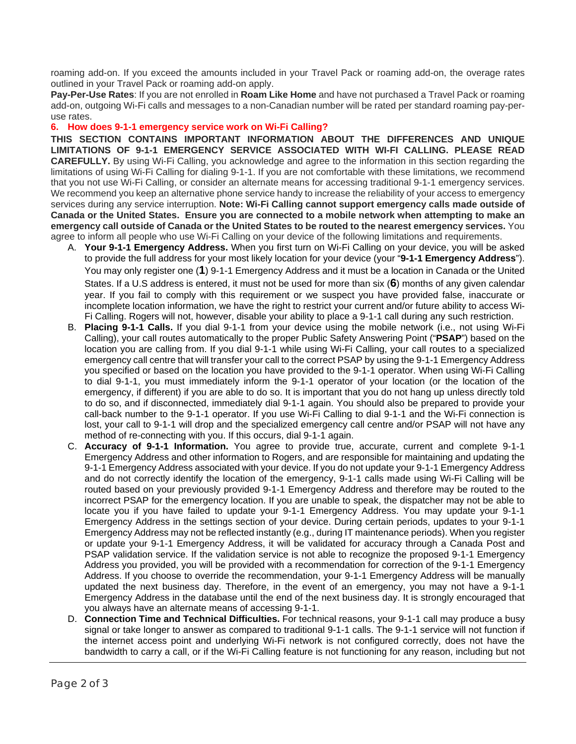roaming add-on. If you exceed the amounts included in your Travel Pack or roaming add-on, the overage rates outlined in your Travel Pack or roaming add-on apply.

**Pay-Per-Use Rates**: If you are not enrolled in **Roam Like Home** and have not purchased a Travel Pack or roaming add-on, outgoing Wi-Fi calls and messages to a non-Canadian number will be rated per standard roaming pay-peruse rates.

### **6. How does 9-1-1 emergency service work on Wi-Fi Calling?**

**THIS SECTION CONTAINS IMPORTANT INFORMATION ABOUT THE DIFFERENCES AND UNIQUE LIMITATIONS OF 9-1-1 EMERGENCY SERVICE ASSOCIATED WITH WI-FI CALLING. PLEASE READ CAREFULLY.** By using Wi-Fi Calling, you acknowledge and agree to the information in this section regarding the limitations of using Wi-Fi Calling for dialing 9-1-1. If you are not comfortable with these limitations, we recommend that you not use Wi-Fi Calling, or consider an alternate means for accessing traditional 9-1-1 emergency services. We recommend you keep an alternative phone service handy to increase the reliability of your access to emergency services during any service interruption. **Note: Wi-Fi Calling cannot support emergency calls made outside of Canada or the United States. Ensure you are connected to a mobile network when attempting to make an emergency call outside of Canada or the United States to be routed to the nearest emergency services.** You agree to inform all people who use Wi-Fi Calling on your device of the following limitations and requirements.

- A. **Your 9-1-1 Emergency Address.** When you first turn on Wi-Fi Calling on your device, you will be asked to provide the full address for your most likely location for your device (your "**9-1-1 Emergency Address**"). You may only register one (**1**) 9-1-1 Emergency Address and it must be a location in Canada or the United States. If a U.S address is entered, it must not be used for more than six (**6**) months of any given calendar year. If you fail to comply with this requirement or we suspect you have provided false, inaccurate or incomplete location information, we have the right to restrict your current and/or future ability to access Wi-Fi Calling. Rogers will not, however, disable your ability to place a 9-1-1 call during any such restriction.
- B. **Placing 9-1-1 Calls.** If you dial 9-1-1 from your device using the mobile network (i.e., not using Wi-Fi Calling), your call routes automatically to the proper Public Safety Answering Point ("**PSAP**") based on the location you are calling from. If you dial 9-1-1 while using Wi-Fi Calling, your call routes to a specialized emergency call centre that will transfer your call to the correct PSAP by using the 9-1-1 Emergency Address you specified or based on the location you have provided to the 9-1-1 operator. When using Wi-Fi Calling to dial 9-1-1, you must immediately inform the 9-1-1 operator of your location (or the location of the emergency, if different) if you are able to do so. It is important that you do not hang up unless directly told to do so, and if disconnected, immediately dial 9-1-1 again. You should also be prepared to provide your call-back number to the 9-1-1 operator. If you use Wi-Fi Calling to dial 9-1-1 and the Wi-Fi connection is lost, your call to 9-1-1 will drop and the specialized emergency call centre and/or PSAP will not have any method of re-connecting with you. If this occurs, dial 9-1-1 again.
- C. **Accuracy of 9-1-1 Information.** You agree to provide true, accurate, current and complete 9-1-1 Emergency Address and other information to Rogers, and are responsible for maintaining and updating the 9-1-1 Emergency Address associated with your device. If you do not update your 9-1-1 Emergency Address and do not correctly identify the location of the emergency, 9-1-1 calls made using Wi-Fi Calling will be routed based on your previously provided 9-1-1 Emergency Address and therefore may be routed to the incorrect PSAP for the emergency location. If you are unable to speak, the dispatcher may not be able to locate you if you have failed to update your 9-1-1 Emergency Address. You may update your 9-1-1 Emergency Address in the settings section of your device. During certain periods, updates to your 9-1-1 Emergency Address may not be reflected instantly (e.g., during IT maintenance periods). When you register or update your 9-1-1 Emergency Address, it will be validated for accuracy through a Canada Post and PSAP validation service. If the validation service is not able to recognize the proposed 9-1-1 Emergency Address you provided, you will be provided with a recommendation for correction of the 9-1-1 Emergency Address. If you choose to override the recommendation, your 9-1-1 Emergency Address will be manually updated the next business day. Therefore, in the event of an emergency, you may not have a 9-1-1 Emergency Address in the database until the end of the next business day. It is strongly encouraged that you always have an alternate means of accessing 9-1-1.
- D. **Connection Time and Technical Difficulties.** For technical reasons, your 9-1-1 call may produce a busy signal or take longer to answer as compared to traditional 9-1-1 calls. The 9-1-1 service will not function if the internet access point and underlying Wi-Fi network is not configured correctly, does not have the bandwidth to carry a call, or if the Wi-Fi Calling feature is not functioning for any reason, including but not